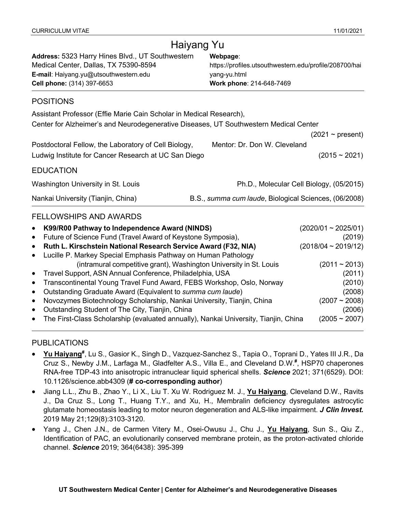| Haiyang Yu                                                                                                                                                       |                                                                                                                |                 |  |  |
|------------------------------------------------------------------------------------------------------------------------------------------------------------------|----------------------------------------------------------------------------------------------------------------|-----------------|--|--|
| Address: 5323 Harry Hines Blvd., UT Southwestern<br>Medical Center, Dallas, TX 75390-8594<br>E-mail: Haiyang.yu@utsouthwestern.edu<br>Cell phone: (314) 397-6653 | Webpage:<br>https://profiles.utsouthwestern.edu/profile/208700/hai<br>yang-yu.html<br>Work phone: 214-648-7469 |                 |  |  |
| <b>POSITIONS</b>                                                                                                                                                 |                                                                                                                |                 |  |  |
| Assistant Professor (Effie Marie Cain Scholar in Medical Research),<br>Center for Alzheimer's and Neurodegenerative Diseases, UT Southwestern Medical Center     |                                                                                                                |                 |  |  |
| $(2021 \sim \text{present})$<br>Mentor: Dr. Don W. Cleveland<br>Postdoctoral Fellow, the Laboratory of Cell Biology,                                             |                                                                                                                |                 |  |  |
| Ludwig Institute for Cancer Research at UC San Diego                                                                                                             |                                                                                                                | $(2015 - 2021)$ |  |  |
| <b>EDUCATION</b>                                                                                                                                                 |                                                                                                                |                 |  |  |
| Washington University in St. Louis<br>Ph.D., Molecular Cell Biology, (05/2015)                                                                                   |                                                                                                                |                 |  |  |
| B.S., summa cum laude, Biological Sciences, (06/2008)<br>Nankai University (Tianjin, China)                                                                      |                                                                                                                |                 |  |  |
| <b>FELLOWSHIPS AND AWARDS</b>                                                                                                                                    |                                                                                                                |                 |  |  |
| K99/R00 Pathway to Independence Award (NINDS)<br>Future of Science Fund (Travel Award of Keystone Symposia),                                                     | $(2020/01 \sim 2025/01)$                                                                                       | (2019)          |  |  |
| $(2018/04 \sim 2019/12)$<br>Ruth L. Kirschstein National Research Service Award (F32, NIA)<br>Lucille P. Markey Special Emphasis Pathway on Human Pathology      |                                                                                                                |                 |  |  |
| (intramural competitive grant), Washington University in St. Louis<br>Travel Support, ASN Annual Conference, Philadelphia, USA                                   | $(2011 - 2013)$                                                                                                | (2011)          |  |  |

| • Transcontinental Young Travel Fund Award, FEBS Workshop, Oslo, Norway  | (2010)          |
|--------------------------------------------------------------------------|-----------------|
| • Outstanding Graduate Award (Equivalent to summa cum laude)             | (2008)          |
| • Novozymes Biotechnology Scholarship, Nankai University, Tianjin, China | $(2007 - 2008)$ |
| . Outstanding Object of The Oily Tieniin Object                          | (0.000)         |

• Outstanding Student of The City, Tianjin, China (2006) • The First-Class Scholarship (evaluated annually), Nankai University, Tianjin, China (2005 ~ 2007)

## PUBLICATIONS

l

- Yu Haiyang<sup>#</sup>, Lu S., Gasior K., Singh D., Vazquez-Sanchez S., Tapia O., Toprani D., Yates III J.R., Da Cruz S., Newby J.M., Larfaga M., Gladfelter A.S., Villa E., and Cleveland D.W.**#** , HSP70 chaperones RNA-free TDP-43 into anisotropic intranuclear liquid spherical shells. *Science* 2021; 371(6529). DOI: 10.1126/science.abb4309 (**# co-corresponding author**)
- Jiang L.L., Zhu B., Zhao Y., Li X., Liu T. Xu W. Rodriguez M. J., **Yu Haiyang**, Cleveland D.W., Ravits J., Da Cruz S., Long T., Huang T.Y., and Xu, H., Membralin deficiency dysregulates astrocytic glutamate homeostasis leading to motor neuron degeneration and ALS-like impairment. *J Clin Invest.* 2019 May 21;129(8):3103-3120.
- Yang J., Chen J.N., de Carmen Vitery M., Osei-Owusu J., Chu J., **Yu Haiyang**, Sun S., Qiu Z., Identification of PAC, an evolutionarily conserved membrane protein, as the proton-activated chloride channel. *Science* 2019; 364(6438): 395-399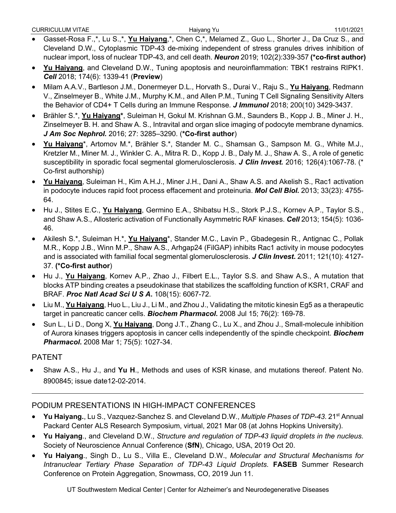- Gasset-Rosa F.,\*, Lu S.,\*, **Yu Haiyang**,\*, Chen C,\*, Melamed Z., Guo L., Shorter J., Da Cruz S., and Cleveland D.W., Cytoplasmic TDP-43 de-mixing independent of stress granules drives inhibition of nuclear import, loss of nuclear TDP-43, and cell death. *Neuron* 2019; 102(2):339-357 **(\*co-first author)**
- **Yu Haiyang**, and Cleveland D.W., Tuning apoptosis and neuroinflammation: TBK1 restrains RIPK1. *Cell* 2018; 174(6): 1339-41 (**Preview**)
- Milam A.A.V., Bartleson J.M., Donermeyer D.L., Horvath S., Durai V., Raju S., **Yu Haiyang**, Redmann V., Zinselmeyer B., White J.M., Murphy K.M., and Allen P.M., Tuning T Cell Signaling Sensitivity Alters the Behavior of CD4+ T Cells during an Immune Response. *J Immunol* 2018; 200(10) 3429-3437.
- Brähler S.\*, **Yu Haiyang\***, Suleiman H, Gokul M. Krishnan G.M., Saunders B., Kopp J. B., Miner J. H., Zinselmeyer B. H. and Shaw A. S., Intravital and organ slice imaging of podocyte membrane dynamics. *J Am Soc Nephrol.* 2016; 27: 3285–3290. (**\*Co-first author**)
- **Yu Haiyang**\*, Artomov M.\*, Brähler S.\*, Stander M. C., Shamsan G., Sampson M. G., White M.J., Kretzler M., Miner M. J., Winkler C. A., Mitra R. D., Kopp J. B., Daly M. J., Shaw A. S., A role of genetic susceptibility in sporadic focal segmental glomerulosclerosis. *J Clin Invest.* 2016; 126(4):1067-78. (\* Co-first authorship)
- **Yu Haiyang**, Suleiman H., Kim A.H.J., Miner J.H., Dani A., Shaw A.S. and Akelish S., Rac1 activation in podocyte induces rapid foot process effacement and proteinuria. *Mol Cell Biol.* 2013; 33(23): 4755- 64.
- Hu J., Stites E.C., **Yu Haiyang**, Germino E.A., Shibatsu H.S., Stork P.J.S., Kornev A.P., Taylor S.S., and Shaw A.S., Allosteric activation of Functionally Asymmetric RAF kinases. *Cell* 2013; 154(5): 1036- 46.
- Akilesh S.\*, Suleiman H.\*, **Yu Haiyang**\*, Stander M.C., Lavin P., Gbadegesin R., Antignac C., Pollak M.R., Kopp J.B., Winn M.P., Shaw A.S., Arhgap24 (FilGAP) inhibits Rac1 activity in mouse podocytes and is associated with familial focal segmental glomerulosclerosis. *J Clin Invest***.** 2011; 121(10): 4127- 37. **(\*Co-first author**)
- Hu J., **Yu Haiyang**, Kornev A.P., Zhao J., Filbert E.L., Taylor S.S. and Shaw A.S., A mutation that blocks ATP binding creates a pseudokinase that stabilizes the scaffolding function of KSR1, CRAF and BRAF. *Proc Natl Acad Sci U S A***.** 108(15): 6067-72.
- Liu M., **Yu Haiyang**, Huo L., Liu J., Li M., and Zhou J., Validating the mitotic kinesin Eg5 as a therapeutic target in pancreatic cancer cells. *Biochem Pharmacol***.** 2008 Jul 15; 76(2): 169-78.
- Sun L., Li D., Dong X, **Yu Haiyang**, Dong J.T., Zhang C., Lu X., and Zhou J., Small-molecule inhibition of Aurora kinases triggers apoptosis in cancer cells independently of the spindle checkpoint. *Biochem Pharmacol***.** 2008 Mar 1; 75(5): 1027-34.

## PATENT

l

• Shaw A.S., Hu J., and **Yu H**., Methods and uses of KSR kinase, and mutations thereof. Patent No. 8900845; issue date12-02-2014.

## PODIUM PRESENTATIONS IN HIGH-IMPACT CONFERENCES

- **Yu Haiyang.**, Lu S., Vazquez-Sanchez S. and Cleveland D.W., *Multiple Phases of TDP-43*. 21st Annual Packard Center ALS Research Symposium, virtual, 2021 Mar 08 (at Johns Hopkins University).
- **Yu Haiyang**., and Cleveland D.W., *Structure and regulation of TDP-43 liquid droplets in the nucleus*. Society of Neuroscience Annual Conference (**SfN**), Chicago, USA, 2019 Oct 20.
- **Yu Haiyang**., Singh D., Lu S., Villa E., Cleveland D.W., *Molecular and Structural Mechanisms for Intranuclear Tertiary Phase Separation of TDP-43 Liquid Droplets*. **FASEB** Summer Research Conference on Protein Aggregation, Snowmass, CO, 2019 Jun 11.